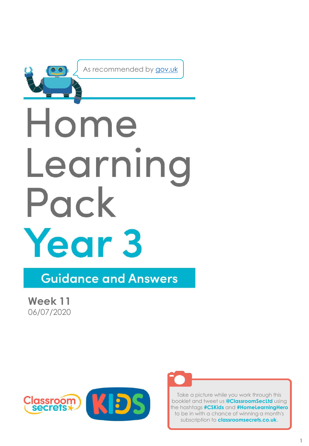

As recommended by [gov.uk](https://www.gov.uk/government/publications/coronavirus-covid-19-online-education-resources/coronavirus-covid-19-list-of-online-education-resources-for-home-education?)

# Home Learning Pack Year 3

**Guidance and Answers** 

**Week 11** 06/07/2020





Take a picture while you work through this booklet and tweet us **@ClassroomSecLtd** using the hashtags **#CSKids** and **#HomeLearningHero** to be in with a chance of winning a month's subscription to **classroomsecrets.co.uk**.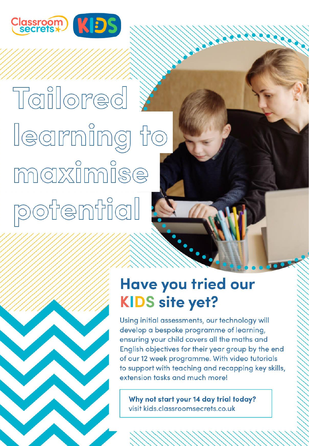

# Tailored learning to maximise potential

# **Have you tried our KIDS site yet?**

Using initial assessments, our technology will develop a bespoke programme of learning, ensuring your child covers all the maths and English objectives for their year group by the end of our 12 week programme. With video tutorials to support with teaching and recapping key skills, extension tasks and much more!

Why not start your 14 day trial today? visit kids.classroomsecrets.co.uk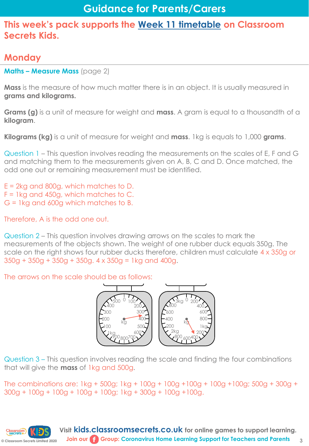# **Monday**

**Maths – Measure Mass** (page 2)

**Mass** is the measure of how much matter there is in an object. It is usually measured in **grams and kilograms.**

**Grams (g)** is a unit of measure for weight and **mass**. A gram is equal to a thousandth of a **kilogram**.

**Kilograms (kg)** is a unit of measure for weight and **mass**. 1kg is equals to 1,000 **grams**.

Question 1 – This question involves reading the measurements on the scales of E, F and G and matching them to the measurements given on A, B, C and D. Once matched, the odd one out or remaining measurement must be identified.

E = 2kg and 800g, which matches to D.  $F = 1$ kg and 450g, which matches to C. G = 1kg and 600g which matches to B.

Therefore, A is the odd one out.

Question 2 – This question involves drawing arrows on the scales to mark the measurements of the objects shown. The weight of one rubber duck equals 350g. The scale on the right shows four rubber ducks therefore, children must calculate 4 x 350g or 350g + 350g + 350g + 350g. 4 x 350g = 1kg and 400g.

The arrows on the scale should be as follows:



Question 3 – This question involves reading the scale and finding the four combinations that will give the **mass** of 1kg and 500g.

The combinations are: 1kg + 500g; 1kg + 100g + 100g +100g + 100g +100g; 500g + 300g + 300g + 100g + 100g + 100g + 100g; 1kg + 300g + 100g +100g.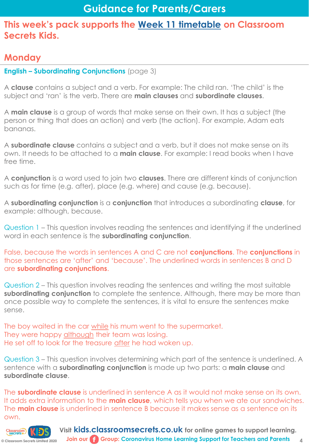# **Monday**

Classroom) |<br>| secrets

#### **English – Subordinating Conjunctions** (page 3)

A **clause** contains a subject and a verb. For example: The child ran. 'The child' is the subject and 'ran' is the verb. There are **main clauses** and **subordinate clauses**.

A **main clause** is a group of words that make sense on their own. It has a subject (the person or thing that does an action) and verb (the action). For example, Adam eats bananas.

A **subordinate clause** contains a subject and a verb, but it does not make sense on its own. It needs to be attached to a **main clause**. For example: I read books when I have free time.

A **conjunction** is a word used to join two **clauses**. There are different kinds of conjunction such as for time (e.g. after), place (e.g. where) and cause (e.g. because).

A **subordinating conjunction** is a **conjunction** that introduces a subordinating **clause**, for example: although, because.

Question 1 – This question involves reading the sentences and identifying if the underlined word in each sentence is the **subordinating conjunction**.

False, because the words in sentences A and C are not **conjunctions**. The **conjunctions** in those sentences are 'after' and 'because'. The underlined words in sentences B and D are **subordinating conjunctions**.

Question 2 – This question involves reading the sentences and writing the most suitable **subordinating conjunction** to complete the sentence. Although, there may be more than once possible way to complete the sentences, it is vital to ensure the sentences make sense.

The boy waited in the car while his mum went to the supermarket. They were happy although their team was losing. He set off to look for the treasure after he had woken up.

Question 3 – This question involves determining which part of the sentence is underlined. A sentence with a **subordinating conjunction** is made up two parts: a **main clause** and **subordinate clause**.

The **subordinate clause** is underlined in sentence A as it would not make sense on its own. It adds extra information to the **main clause**, which tells you when we ate our sandwiches. The **main clause** is underlined in sentence B because it makes sense as a sentence on its own.

**© Classroom Secrets Limited 2020 Visit kids.classroomsecrets.co.uk for online games to support learning. Join our Group: Coronavirus Home Learning Support for Teachers and Parents**

**4**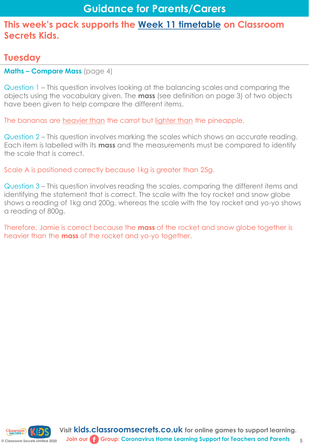# **Tuesday**

**Maths – Compare Mass** (page 4)

Question 1 – This question involves looking at the balancing scales and comparing the objects using the vocabulary given. The **mass** (see definition on page 3) of two objects have been given to help compare the different items.

The bananas are heavier than the carrot but lighter than the pineapple.

Question 2 – This question involves marking the scales which shows an accurate reading. Each item is labelled with its **mass** and the measurements must be compared to identify the scale that is correct.

Scale A is positioned correctly because 1kg is greater than 25g.

Question 3 – This question involves reading the scales, comparing the different items and identifying the statement that is correct. The scale with the toy rocket and snow globe shows a reading of 1kg and 200g, whereas the scale with the toy rocket and yo-yo shows a reading of 800g.

Therefore, Jamie is correct because the **mass** of the rocket and snow globe together is heavier than the **mass** of the rocket and yo-yo together.

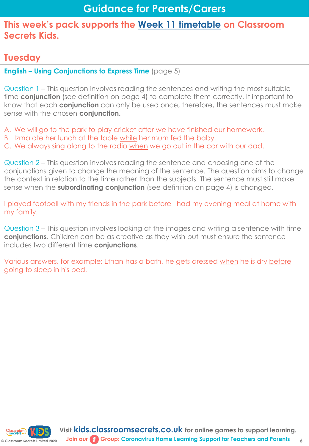# **Tuesday**

**English – Using Conjunctions to Express Time** (page 5)

Question 1 – This question involves reading the sentences and writing the most suitable time **conjunction** (see definition on page 4) to complete them correctly. It important to know that each **conjunction** can only be used once, therefore, the sentences must make sense with the chosen **conjunction.**

A. We will go to the park to play cricket after we have finished our homework.

- B. Izma ate her lunch at the table while her mum fed the baby.
- C. We always sing along to the radio when we go out in the car with our dad.

Question 2 – This question involves reading the sentence and choosing one of the conjunctions given to change the meaning of the sentence. The question aims to change the context in relation to the time rather than the subjects. The sentence must still make sense when the **subordinating conjunction** (see definition on page 4) is changed.

I played football with my friends in the park before I had my evening meal at home with my family.

Question 3 – This question involves looking at the images and writing a sentence with time **conjunctions**. Children can be as creative as they wish but must ensure the sentence includes two different time **conjunctions**.

Various answers, for example: Ethan has a bath, he gets dressed when he is dry before going to sleep in his bed.



**6**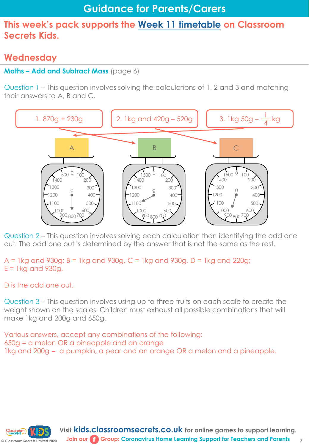# **Wednesday**

#### **Maths – Add and Subtract Mass** (page 6)

Question 1 – This question involves solving the calculations of 1, 2 and 3 and matching their answers to A, B and C.



Question 2 – This question involves solving each calculation then identifying the odd one out. The odd one out is determined by the answer that is not the same as the rest.

 $A = 1$ kg and 930g; B = 1kg and 930g, C = 1kg and 930g, D = 1kg and 220g;  $E = 1$ kg and 930g.

D is the odd one out.

Question 3 – This question involves using up to three fruits on each scale to create the weight shown on the scales. Children must exhaust all possible combinations that will make 1kg and 200g and 650g.

Various answers, accept any combinations of the following: 650g = a melon OR a pineapple and an orange 1kg and 200g = a pumpkin, a pear and an orange OR a melon and a pineapple.

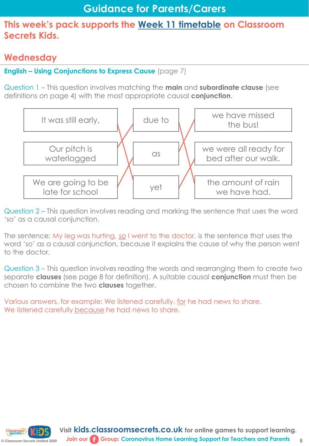# **Wednesday**

#### **English – Using Conjunctions to Express Cause** (page 7)

Question 1 – This question involves matching the **main** and **subordinate clause** (see definitions on page 4) with the most appropriate causal **conjunction**.



Question 2 – This question involves reading and marking the sentence that uses the word 'so' as a causal conjunction.

The sentence: My leg was hurting, so I went to the doctor, is the sentence that uses the word 'so' as a causal conjunction, because it explains the cause of why the person went to the doctor.

Question 3 – This question involves reading the words and rearranging them to create two separate **clauses** (see page 8 for definition). A suitable causal **conjunction** must then be chosen to combine the two **clauses** together.

Various answers, for example: We listened carefully, for he had news to share. We listened carefully because he had news to share.

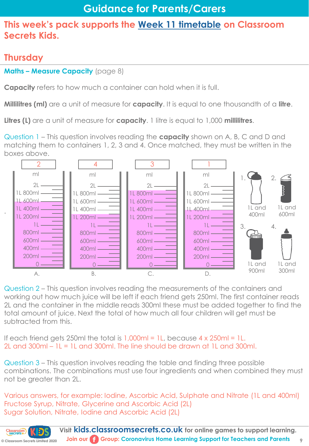# **Thursday**

.

**Maths – Measure Capacity** (page 8)

**Capacity** refers to how much a container can hold when it is full.

**Millilitres (ml)** are a unit of measure for **capacity**. It is equal to one thousandth of a **litre**.

**Litres (L)** are a unit of measure for **capacity**. 1 litre is equal to 1,000 **millilitres**.

Question 1 – This question involves reading the **capacity** shown on A, B, C and D and matching them to containers 1, 2, 3 and 4. Once matched, they must be written in the boxes above.



Question 2 – This question involves reading the measurements of the containers and working out how much juice will be left if each friend gets 250ml. The first container reads 2L and the container in the middle reads 300ml these must be added together to find the total amount of juice. Next the total of how much all four children will get must be subtracted from this.

If each friend gets 250ml the total is 1,000ml = 1L, because 4 x 250ml = 1L. 2L and  $300$ ml –  $1L = 1L$  and  $300$ ml. The line should be drawn at  $1L$  and  $300$ ml.

Question 3 – This question involves reading the table and finding three possible combinations. The combinations must use four ingredients and when combined they must not be greater than 2L.

Various answers, for example: Iodine, Ascorbic Acid, Sulphate and Nitrate (1L and 400ml) Fructose Syrup, Nitrate, Glycerine and Ascorbic Acid (2L) Sugar Solution, Nitrate, Iodine and Ascorbic Acid (2L)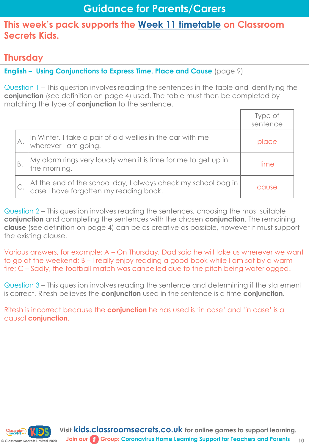# **Thursday**

**English – Using Conjunctions to Express Time, Place and Cause** (page 9)

Question 1 – This question involves reading the sentences in the table and identifying the **conjunction** (see definition on page 4) used. The table must then be completed by matching the type of **conjunction** to the sentence.

|    |                                                                                                           | Type of<br>sentence |
|----|-----------------------------------------------------------------------------------------------------------|---------------------|
|    | In Winter, I take a pair of old wellies in the car with me<br>wherever I am going.                        | place               |
| Β. | My alarm rings very loudly when it is time for me to get up in<br>the morning.                            | time                |
|    | At the end of the school day, I always check my school bag in<br>  case I have forgotten my reading book. | cause               |

Question 2 – This question involves reading the sentences, choosing the most suitable **conjunction** and completing the sentences with the chosen **conjunction**. The remaining **clause** (see definition on page 4) can be as creative as possible, however it must support the existing clause.

Various answers, for example: A – On Thursday, Dad said he will take us wherever we want to go at the weekend; B – I really enjoy reading a good book while I am sat by a warm fire; C – Sadly, the football match was cancelled due to the pitch being waterlogged.

Question 3 – This question involves reading the sentence and determining if the statement is correct. Ritesh believes the **conjunction** used in the sentence is a time **conjunction**.

Ritesh is incorrect because the **conjunction** he has used is 'in case' and 'in case' is a causal **conjunction**.

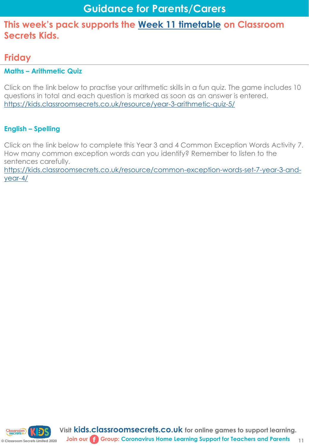# **Friday**

#### **Maths – Arithmetic Quiz**

Click on the link below to practise your arithmetic skills in a fun quiz. The game includes 10 questions in total and each question is marked as soon as an answer is entered. [https://kids.classroomsecrets.co.uk/resource/year-3-arithmetic-quiz-5/](https://kids.classroomsecrets.co.uk/resource/year-3-arithmetic-quiz-4/)

#### **English – Spelling**

Click on the link below to complete this Year 3 and 4 Common Exception Words Activity 7. How many common exception words can you identify? Remember to listen to the sentences carefully.

[https://kids.classroomsecrets.co.uk/resource/common-exception-words-set-7-year-3-and](https://kids.classroomsecrets.co.uk/resource/common-exception-words-set-7-year-3-and-year-4/)year-4/

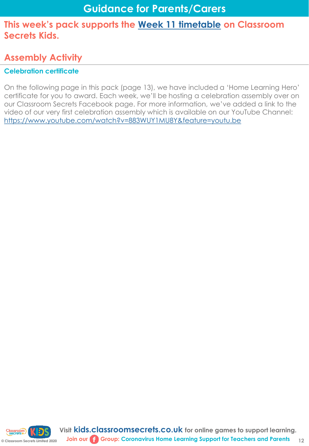# **Assembly Activity**

#### **Celebration certificate**

On the following page in this pack (page 13), we have included a 'Home Learning Hero' certificate for you to award. Each week, we'll be hosting a celebration assembly over on our Classroom Secrets Facebook page. For more information, we've added a link to the video of our very first celebration assembly which is available on our YouTube Channel: <https://www.youtube.com/watch?v=883WUY1MU8Y&feature=youtu.be>

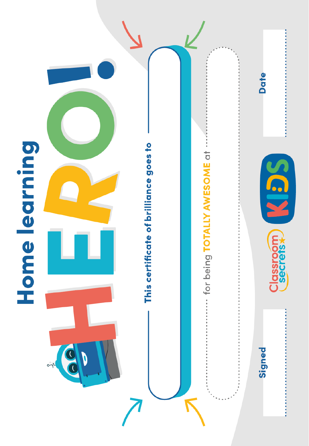